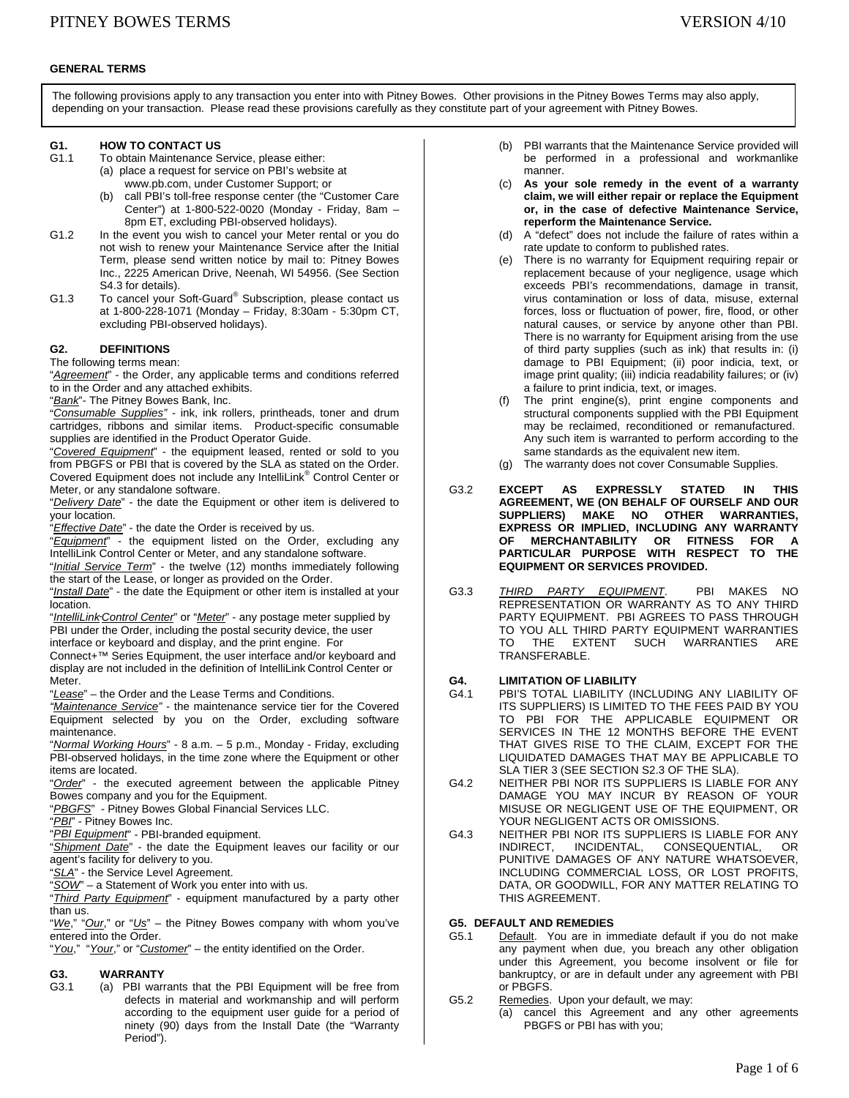### **GENERAL TERMS**

The following provisions apply to any transaction you enter into with Pitney Bowes. Other provisions in the Pitney Bowes Terms may also apply, depending on your transaction. Please read these provisions carefully as they constitute part of your agreement with Pitney Bowes.

# **G1. HOW TO CONTACT US**<br>G1.1 To obtain Maintenance S

- To obtain Maintenance Service, please either: (a) place a request for service on PBI's website at www.pb.com, under Customer Support; or
	- (b) call PBI's toll-free response center (the "Customer Care Center") at 1-800-522-0020 (Monday - Friday, 8am – 8pm ET, excluding PBI-observed holidays).
- G1.2 In the event you wish to cancel your Meter rental or you do not wish to renew your Maintenance Service after the Initial Term, please send written notice by mail to: Pitney Bowes Inc., 2225 American Drive, Neenah, WI 54956. (See Section S4.3 for details).
- G1.3 To cancel your Soft-Guard<sup>®</sup> Subscription, please contact us at 1-800-228-1071 (Monday – Friday, 8:30am - 5:30pm CT, excluding PBI-observed holidays).

## **G2. DEFINITIONS**

The following terms mean:

"*Agreement*" - the Order, any applicable terms and conditions referred to in the Order and any attached exhibits.

"*Bank*"- The Pitney Bowes Bank, Inc.

"*Consumable Supplies"* - ink, ink rollers, printheads, toner and drum cartridges, ribbons and similar items. Product-specific consumable supplies are identified in the Product Operator Guide.

"*Covered Equipment*" - the equipment leased, rented or sold to you from PBGFS or PBI that is covered by the SLA as stated on the Order. Covered Equipment does not include any IntelliLink® Control Center or Meter, or any standalone software.

"*Delivery Date*" - the date the Equipment or other item is delivered to your location.

"*Effective Date*" - the date the Order is received by us.

"*Equipment*" - the equipment listed on the Order, excluding any IntelliLink Control Center or Meter, and any standalone software.

"*Initial Service Term*" - the twelve (12) months immediately following the start of the Lease, or longer as provided on the Order.

"*Install Date*" - the date the Equipment or other item is installed at your location.

"*IntelliLink Control Center*" or "*Meter*" - any postage meter supplied by PBI under the Order, including the postal security device, the user interface or keyboard and display, and the print engine. For

Connect+™ Series Equipment, the user interface and/or keyboard and display are not included in the definition of IntelliLink Control Center or Meter.

"*Lease*" – the Order and the Lease Terms and Conditions.

*"Maintenance Service"* - the maintenance service tier for the Covered Equipment selected by you on the Order, excluding software maintenance.

"*Normal Working Hours*" - 8 a.m. – 5 p.m., Monday - Friday, excluding PBI-observed holidays, in the time zone where the Equipment or other items are located.

"*Order*" - the executed agreement between the applicable Pitney Bowes company and you for the Equipment.

"*PBGFS*" - Pitney Bowes Global Financial Services LLC.

"*PBI*" - Pitney Bowes Inc.

"*PBI Equipment*" - PBI-branded equipment.

"*Shipment Date*" - the date the Equipment leaves our facility or our agent's facility for delivery to you.

"*SLA*" - the Service Level Agreement.

"*SOW*" – a Statement of Work you enter into with us.

"*Third Party Equipment*" - equipment manufactured by a party other than us.

"*We*," "*Our*," or "*Us*" – the Pitney Bowes company with whom you've entered into the Order.

"*You*," "*Your*," or "*Customer*" – the entity identified on the Order.

## **G3. WARRANTY**

G3.1 (a) PBI warrants that the PBI Equipment will be free from defects in material and workmanship and will perform according to the equipment user guide for a period of ninety (90) days from the Install Date (the "Warranty Period").

- (b) PBI warrants that the Maintenance Service provided will be performed in a professional and workmanlike manner.
- (c) **As your sole remedy in the event of a warranty claim, we will either repair or replace the Equipment or, in the case of defective Maintenance Service, reperform the Maintenance Service.**
- (d) A "defect" does not include the failure of rates within a rate update to conform to published rates.
- (e) There is no warranty for Equipment requiring repair or replacement because of your negligence, usage which exceeds PBI's recommendations, damage in transit, virus contamination or loss of data, misuse, external forces, loss or fluctuation of power, fire, flood, or other natural causes, or service by anyone other than PBI. There is no warranty for Equipment arising from the use of third party supplies (such as ink) that results in: (i) damage to PBI Equipment; (ii) poor indicia, text, or image print quality; (iii) indicia readability failures; or (iv) a failure to print indicia, text, or images.
- (f) The print engine(s), print engine components and structural components supplied with the PBI Equipment may be reclaimed, reconditioned or remanufactured. Any such item is warranted to perform according to the same standards as the equivalent new item.
- (g) The warranty does not cover Consumable Supplies.
- G3.2 **EXCEPT AS EXPRESSLY STATED IN THIS AGREEMENT, WE (ON BEHALF OF OURSELF AND OUR SUPPLIERS) MAKE NO OTHER WARRANTIES, EXPRESS OR IMPLIED, INCLUDING ANY WARRANTY OF MERCHANTABILITY OR FITNESS FOR A PARTICULAR PURPOSE WITH RESPECT TO THE EQUIPMENT OR SERVICES PROVIDED.**
- G3.3 *THIRD PARTY EQUIPMENT*. PBI MAKES NO REPRESENTATION OR WARRANTY AS TO ANY THIRD PARTY EQUIPMENT. PBI AGREES TO PASS THROUGH TO YOU ALL THIRD PARTY EQUIPMENT WARRANTIES TO THE EXTENT SUCH WARRANTIES ARE TRANSFERABLE.

# **G4. LIMITATION OF LIABILITY**

- PBI'S TOTAL LIABILITY (INCLUDING ANY LIABILITY OF ITS SUPPLIERS) IS LIMITED TO THE FEES PAID BY YOU TO PBI FOR THE APPLICABLE EQUIPMENT OR SERVICES IN THE 12 MONTHS BEFORE THE EVENT THAT GIVES RISE TO THE CLAIM, EXCEPT FOR THE LIQUIDATED DAMAGES THAT MAY BE APPLICABLE TO SLA TIER 3 (SEE SECTION S2.3 OF THE SLA).
- G4.2 NEITHER PBI NOR ITS SUPPLIERS IS LIABLE FOR ANY DAMAGE YOU MAY INCUR BY REASON OF YOUR MISUSE OR NEGLIGENT USE OF THE EQUIPMENT, OR YOUR NEGLIGENT ACTS OR OMISSIONS.
- G4.3 NEITHER PBI NOR ITS SUPPLIERS IS LIABLE FOR ANY INDIRECT, INCIDENTAL, CONSEQUENTIAL, OR PUNITIVE DAMAGES OF ANY NATURE WHATSOEVER, INCLUDING COMMERCIAL LOSS, OR LOST PROFITS, DATA, OR GOODWILL, FOR ANY MATTER RELATING TO THIS AGREEMENT.

## **G5. DEFAULT AND REMEDIES**

- G5.1 Default. You are in immediate default if you do not make any payment when due, you breach any other obligation under this Agreement, you become insolvent or file for bankruptcy, or are in default under any agreement with PBI or PBGFS.
- G5.2 Remedies. Upon your default, we may:
	- (a) cancel this Agreement and any other agreements PBGFS or PBI has with you;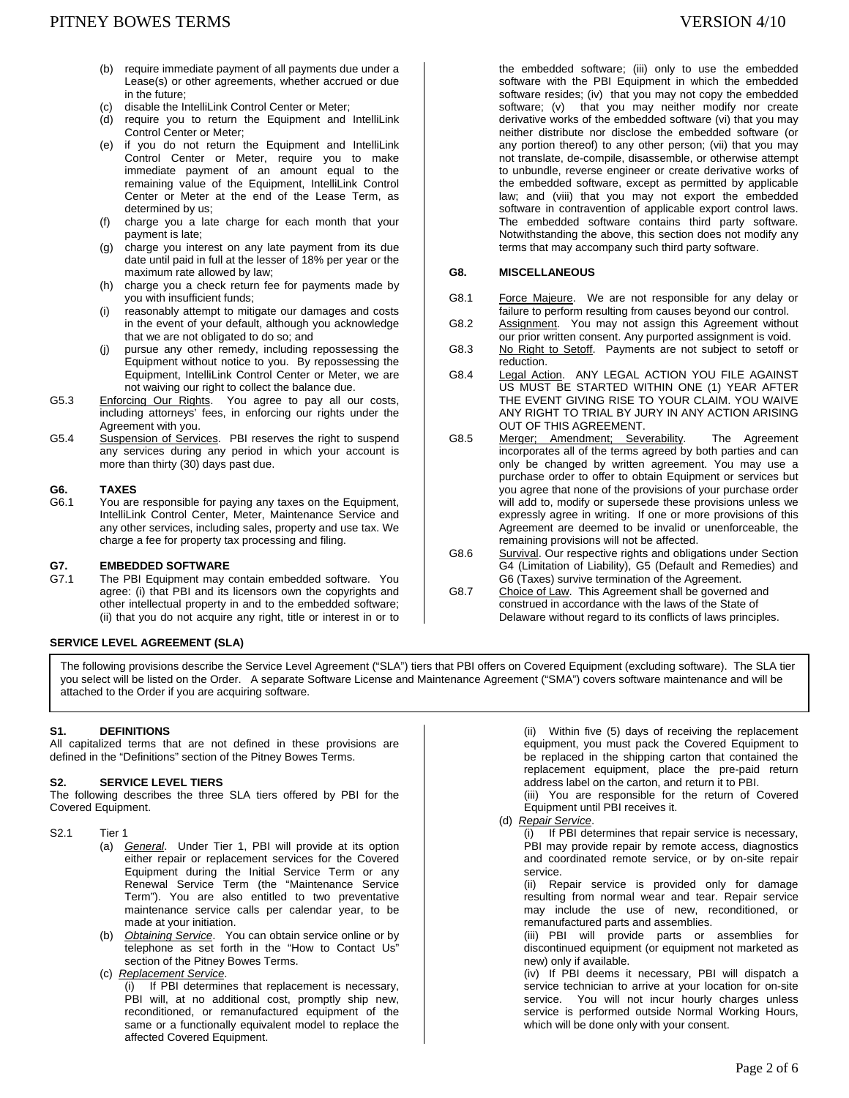- (b) require immediate payment of all payments due under a Lease(s) or other agreements, whether accrued or due in the future;
- (c) disable the IntelliLink Control Center or Meter;
- (d) require you to return the Equipment and IntelliLink Control Center or Meter;
- (e) if you do not return the Equipment and IntelliLink Control Center or Meter, require you to make immediate payment of an amount equal to the remaining value of the Equipment, IntelliLink Control Center or Meter at the end of the Lease Term, as determined by us;
- (f) charge you a late charge for each month that your payment is late;
- (g) charge you interest on any late payment from its due date until paid in full at the lesser of 18% per year or the maximum rate allowed by law;
- (h) charge you a check return fee for payments made by you with insufficient funds;
- (i) reasonably attempt to mitigate our damages and costs in the event of your default, although you acknowledge that we are not obligated to do so; and
- (j) pursue any other remedy, including repossessing the Equipment without notice to you. By repossessing the Equipment, IntelliLink Control Center or Meter, we are not waiving our right to collect the balance due.
- G5.3 Enforcing Our Rights. You agree to pay all our costs, including attorneys' fees, in enforcing our rights under the Agreement with you.
- G5.4 Suspension of Services. PBI reserves the right to suspend any services during any period in which your account is more than thirty (30) days past due.

### **G6. TAXES**

G6.1 You are responsible for paying any taxes on the Equipment, IntelliLink Control Center, Meter, Maintenance Service and any other services, including sales, property and use tax. We charge a fee for property tax processing and filing.

# **G7. EMBEDDED SOFTWARE**<br>**G7.1** The PBI Equipment may on

The PBI Equipment may contain embedded software. You agree: (i) that PBI and its licensors own the copyrights and other intellectual property in and to the embedded software; (ii) that you do not acquire any right, title or interest in or to

## **SERVICE LEVEL AGREEMENT (SLA)**

the embedded software; (iii) only to use the embedded software with the PBI Equipment in which the embedded software resides; (iv) that you may not copy the embedded software; (v) that you may neither modify nor create derivative works of the embedded software (vi) that you may neither distribute nor disclose the embedded software (or any portion thereof) to any other person; (vii) that you may not translate, de-compile, disassemble, or otherwise attempt to unbundle, reverse engineer or create derivative works of the embedded software, except as permitted by applicable law; and (viii) that you may not export the embedded software in contravention of applicable export control laws. The embedded software contains third party software. Notwithstanding the above, this section does not modify any terms that may accompany such third party software.

## **G8. MISCELLANEOUS**

- G8.1 Force Majeure. We are not responsible for any delay or failure to perform resulting from causes beyond our control.
- G8.2 Assignment. You may not assign this Agreement without our prior written consent. Any purported assignment is void.
- G8.3 No Right to Setoff. Payments are not subject to setoff or reduction.
- G8.4 Legal Action. ANY LEGAL ACTION YOU FILE AGAINST US MUST BE STARTED WITHIN ONE (1) YEAR AFTER THE EVENT GIVING RISE TO YOUR CLAIM. YOU WAIVE ANY RIGHT TO TRIAL BY JURY IN ANY ACTION ARISING OUT OF THIS AGREEMENT.
- G8.5 Merger; Amendment; Severability. The Agreement incorporates all of the terms agreed by both parties and can only be changed by written agreement. You may use a purchase order to offer to obtain Equipment or services but you agree that none of the provisions of your purchase order will add to, modify or supersede these provisions unless we expressly agree in writing. If one or more provisions of this Agreement are deemed to be invalid or unenforceable, the remaining provisions will not be affected.
- G8.6 Survival. Our respective rights and obligations under Section G4 (Limitation of Liability), G5 (Default and Remedies) and G6 (Taxes) survive termination of the Agreement.
- G8.7 Choice of Law. This Agreement shall be governed and construed in accordance with the laws of the State of Delaware without regard to its conflicts of laws principles.

The following provisions describe the Service Level Agreement ("SLA") tiers that PBI offers on Covered Equipment (excluding software). The SLA tier you select will be listed on the Order. A separate Software License and Maintenance Agreement ("SMA") covers software maintenance and will be attached to the Order if you are acquiring software.

#### **S1. DEFINITIONS**

All capitalized terms that are not defined in these provisions are defined in the "Definitions" section of the Pitney Bowes Terms.

#### **S2. SERVICE LEVEL TIERS**

The following describes the three SLA tiers offered by PBI for the Covered Equipment.

- (a) *General*. Under Tier 1, PBI will provide at its option either repair or replacement services for the Covered Equipment during the Initial Service Term or any Renewal Service Term (the "Maintenance Service Term"). You are also entitled to two preventative maintenance service calls per calendar year, to be made at your initiation.
- (b) *Obtaining Service*. You can obtain service online or by telephone as set forth in the "How to Contact Us" section of the Pitney Bowes Terms.
- (c) *Replacement Service*.

(i) If PBI determines that replacement is necessary, PBI will, at no additional cost, promptly ship new, reconditioned, or remanufactured equipment of the same or a functionally equivalent model to replace the affected Covered Equipment.

(ii) Within five (5) days of receiving the replacement equipment, you must pack the Covered Equipment to be replaced in the shipping carton that contained the replacement equipment, place the pre-paid return address label on the carton, and return it to PBI.

(iii) You are responsible for the return of Covered Equipment until PBI receives it.

(d) *Repair Service*.

(i) If PBI determines that repair service is necessary, PBI may provide repair by remote access, diagnostics and coordinated remote service, or by on-site repair service.

(ii) Repair service is provided only for damage resulting from normal wear and tear. Repair service may include the use of new, reconditioned, or remanufactured parts and assemblies.

(iii) PBI will provide parts or assemblies for discontinued equipment (or equipment not marketed as new) only if available.

(iv) If PBI deems it necessary, PBI will dispatch a service technician to arrive at your location for on-site service. You will not incur hourly charges unless service is performed outside Normal Working Hours, which will be done only with your consent.

S2.1 Tier 1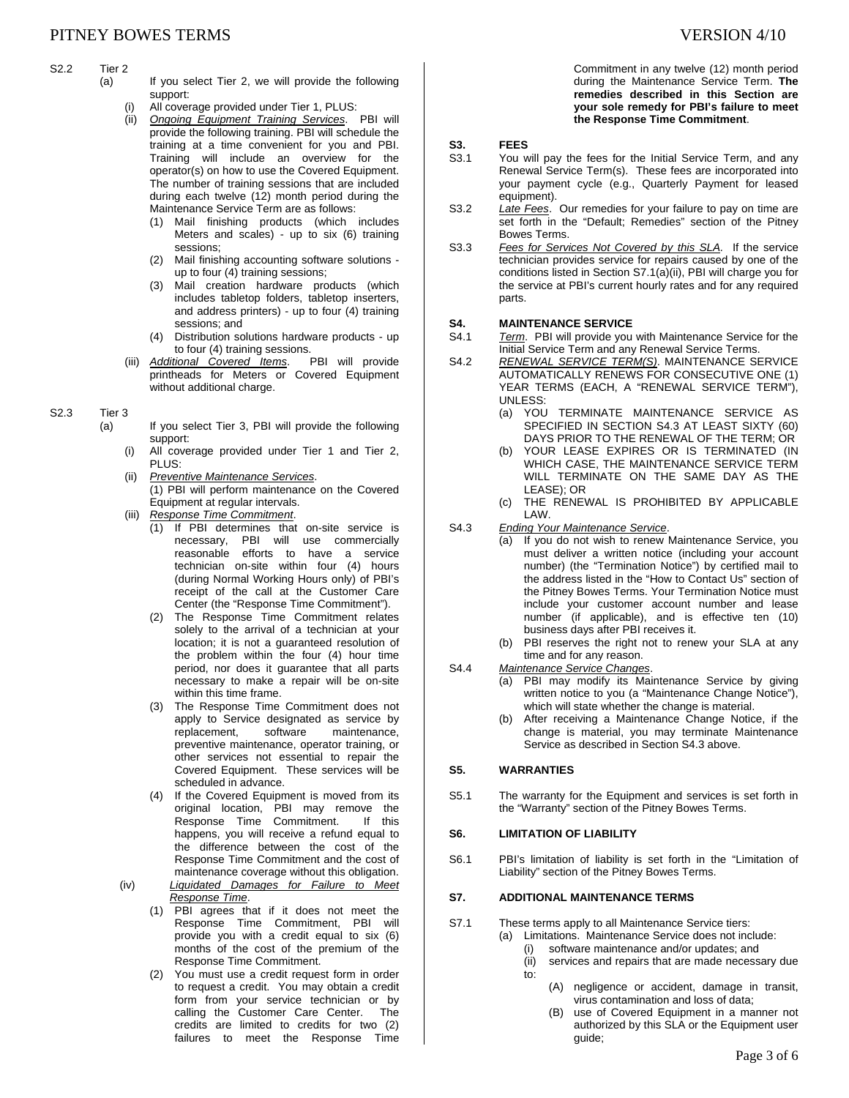#### S2.2 Tier 2

- (a) If you select Tier 2, we will provide the following support:
	- (i) All coverage provided under Tier 1, PLUS:
	- (ii) *Ongoing Equipment Training Services*. PBI will provide the following training. PBI will schedule the training at a time convenient for you and PBI. Training will include an overview for the operator(s) on how to use the Covered Equipment. The number of training sessions that are included during each twelve (12) month period during the Maintenance Service Term are as follows:
		- (1) Mail finishing products (which includes Meters and scales) - up to six (6) training sessions;
		- (2) Mail finishing accounting software solutions up to four (4) training sessions;
		- (3) Mail creation hardware products (which includes tabletop folders, tabletop inserters, and address printers) - up to four (4) training sessions; and
		- (4) Distribution solutions hardware products up to four (4) training sessions.
	- (iii) *Additional Covered Items*. PBI will provide printheads for Meters or Covered Equipment without additional charge.

# S2.3 Tier 3

- (a) If you select Tier 3, PBI will provide the following support:
	- (i) All coverage provided under Tier 1 and Tier 2, PLUS:
	- (ii) *Preventive Maintenance Services*. (1) PBI will perform maintenance on the Covered Equipment at regular intervals.
	- (iii) *Response Time Commitment*.
		- (1) If PBI determines that on-site service is necessary, PBI will use commercially reasonable efforts to have a service technician on-site within four (4) hours (during Normal Working Hours only) of PBI's receipt of the call at the Customer Care Center (the "Response Time Commitment").
		- (2) The Response Time Commitment relates solely to the arrival of a technician at your location; it is not a guaranteed resolution of the problem within the four (4) hour time period, nor does it guarantee that all parts necessary to make a repair will be on-site within this time frame.
		- (3) The Response Time Commitment does not apply to Service designated as service by<br>replacement, software maintenance, replacement, software maintenance, preventive maintenance, operator training, or other services not essential to repair the Covered Equipment. These services will be scheduled in advance.
		- (4) If the Covered Equipment is moved from its original location, PBI may remove the Response Time Commitment. If this happens, you will receive a refund equal to the difference between the cost of the Response Time Commitment and the cost of maintenance coverage without this obligation.
	- (iv) *Liquidated Damages for Failure to Meet Response Time*.
		- (1) PBI agrees that if it does not meet the Response Time Commitment, PBI will provide you with a credit equal to six (6) months of the cost of the premium of the Response Time Commitment.
		- (2) You must use a credit request form in order to request a credit. You may obtain a credit form from your service technician or by calling the Customer Care Center. The credits are limited to credits for two (2) failures to meet the Response Time

Commitment in any twelve (12) month period during the Maintenance Service Term. **The remedies described in this Section are your sole remedy for PBI's failure to meet the Response Time Commitment**.

# **S3. FEES**<br>S3.1 You w

- You will pay the fees for the Initial Service Term, and any Renewal Service Term(s). These fees are incorporated into your payment cycle (e.g., Quarterly Payment for leased equipment).
- S3.2 *Late Fees*. Our remedies for your failure to pay on time are set forth in the "Default; Remedies" section of the Pitney Bowes Terms.
- S3.3 *Fees for Services Not Covered by this SLA.* If the service technician provides service for repairs caused by one of the conditions listed in Section S7.1(a)(ii), PBI will charge you for the service at PBI's current hourly rates and for any required parts.

# **S4. MAINTENANCE SERVICE**<br>S4.1 Term. PBI will provide you

Term. PBI will provide you with Maintenance Service for the Initial Service Term and any Renewal Service Terms.

- S4.2 *RENEWAL SERVICE TERM(S)*. MAINTENANCE SERVICE AUTOMATICALLY RENEWS FOR CONSECUTIVE ONE (1) YEAR TERMS (EACH, A "RENEWAL SERVICE TERM"), UNLESS:
	- (a) YOU TERMINATE MAINTENANCE SERVICE AS SPECIFIED IN SECTION S4.3 AT LEAST SIXTY (60) DAYS PRIOR TO THE RENEWAL OF THE TERM; OR
	- (b) YOUR LEASE EXPIRES OR IS TERMINATED (IN WHICH CASE, THE MAINTENANCE SERVICE TERM WILL TERMINATE ON THE SAME DAY AS THE LEASE); OR
	- (c) THE RENEWAL IS PROHIBITED BY APPLICABLE LAW.
- S4.3 *Ending Your Maintenance Service*.
	- (a) If you do not wish to renew Maintenance Service, you must deliver a written notice (including your account number) (the "Termination Notice") by certified mail to the address listed in the "How to Contact Us" section of the Pitney Bowes Terms. Your Termination Notice must include your customer account number and lease number (if applicable), and is effective ten (10) business days after PBI receives it.
		- (b) PBI reserves the right not to renew your SLA at any time and for any reason.
- S4.4 *Maintenance Service Changes*.
	- (a) PBI may modify its Maintenance Service by giving written notice to you (a "Maintenance Change Notice"), which will state whether the change is material.
	- (b) After receiving a Maintenance Change Notice, if the change is material, you may terminate Maintenance Service as described in Section S4.3 above.

## **S5. WARRANTIES**

S5.1 The warranty for the Equipment and services is set forth in the "Warranty" section of the Pitney Bowes Terms.

#### **S6. LIMITATION OF LIABILITY**

S6.1 PBI's limitation of liability is set forth in the "Limitation of Liability" section of the Pitney Bowes Terms.

#### **S7. ADDITIONAL MAINTENANCE TERMS**

- S7.1 These terms apply to all Maintenance Service tiers:
	- (a) Limitations. Maintenance Service does not include: (i) software maintenance and/or updates; and
		- (ii) services and repairs that are made necessary due to:
			- (A) negligence or accident, damage in transit, virus contamination and loss of data;
			- (B) use of Covered Equipment in a manner not authorized by this SLA or the Equipment user guide;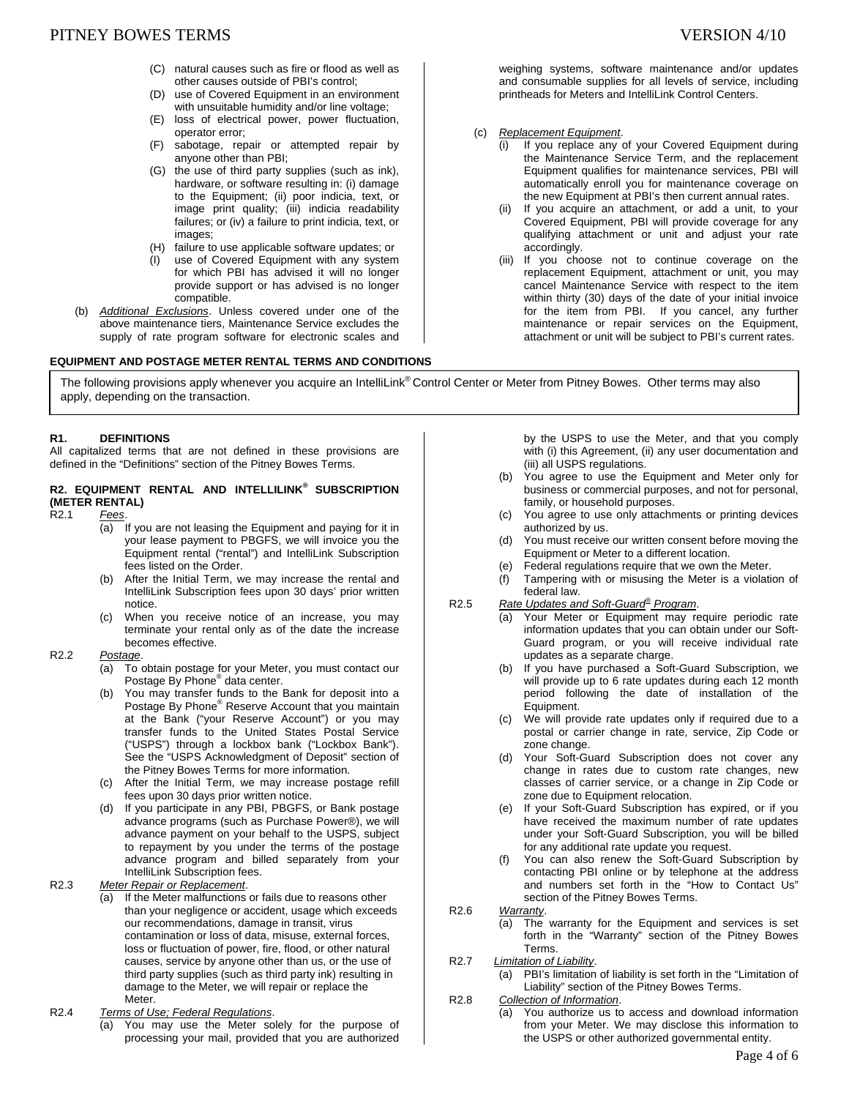- (C) natural causes such as fire or flood as well as other causes outside of PBI's control;
- (D) use of Covered Equipment in an environment with unsuitable humidity and/or line voltage;
- (E) loss of electrical power, power fluctuation, operator error;
- (F) sabotage, repair or attempted repair by anyone other than PBI;
- (G) the use of third party supplies (such as ink), hardware, or software resulting in: (i) damage to the Equipment; (ii) poor indicia, text, or image print quality; (iii) indicia readability failures; or (iv) a failure to print indicia, text, or images;
- (H) failure to use applicable software updates; or
- (I) use of Covered Equipment with any system for which PBI has advised it will no longer provide support or has advised is no longer compatible.
- (b) *Additional Exclusions*. Unless covered under one of the above maintenance tiers, Maintenance Service excludes the supply of rate program software for electronic scales and

# **EQUIPMENT AND POSTAGE METER RENTAL TERMS AND CONDITIONS**

weighing systems, software maintenance and/or updates and consumable supplies for all levels of service, including printheads for Meters and IntelliLink Control Centers.

- (c) *Replacement Equipment*.
	- (i) If you replace any of your Covered Equipment during the Maintenance Service Term, and the replacement Equipment qualifies for maintenance services, PBI will automatically enroll you for maintenance coverage on the new Equipment at PBI's then current annual rates.
	- (ii) If you acquire an attachment, or add a unit, to your Covered Equipment, PBI will provide coverage for any qualifying attachment or unit and adjust your rate accordingly.
	- (iii) If you choose not to continue coverage on the replacement Equipment, attachment or unit, you may cancel Maintenance Service with respect to the item within thirty (30) days of the date of your initial invoice for the item from PBI. If you cancel, any further maintenance or repair services on the Equipment, attachment or unit will be subject to PBI's current rates.

The following provisions apply whenever you acquire an IntelliLink® Control Center or Meter from Pitney Bowes. Other terms may also apply, depending on the transaction.

### **R1. DEFINITIONS**

All capitalized terms that are not defined in these provisions are defined in the "Definitions" section of the Pitney Bowes Terms.

# **R2. EQUIPMENT RENTAL AND INTELLILINK® SUBSCRIPTION (METER RENTAL)**

R2.1 *Fees*.

- (a) If you are not leasing the Equipment and paying for it in your lease payment to PBGFS, we will invoice you the Equipment rental ("rental") and IntelliLink Subscription fees listed on the Order.
- (b) After the Initial Term, we may increase the rental and IntelliLink Subscription fees upon 30 days' prior written notice.
- (c) When you receive notice of an increase, you may terminate your rental only as of the date the increase becomes effective.

## R2.2 *Postage*.

- (a) To obtain postage for your Meter, you must contact our Postage By Phone<sup>®</sup> data center.
- (b) You may transfer funds to the Bank for deposit into a Postage By Phone<sup>®</sup> Reserve Account that you maintain at the Bank ("your Reserve Account") or you may transfer funds to the United States Postal Service ("USPS") through a lockbox bank ("Lockbox Bank"). See the "USPS Acknowledgment of Deposit" section of the Pitney Bowes Terms for more information.
- (c) After the Initial Term, we may increase postage refill fees upon 30 days prior written notice.
- (d) If you participate in any PBI, PBGFS, or Bank postage advance programs (such as Purchase Power®), we will advance payment on your behalf to the USPS, subject to repayment by you under the terms of the postage advance program and billed separately from your IntelliLink Subscription fees.

R2.3 *Meter Repair or Replacement*.

- (a) If the Meter malfunctions or fails due to reasons other than your negligence or accident, usage which exceeds our recommendations, damage in transit, virus contamination or loss of data, misuse, external forces, loss or fluctuation of power, fire, flood, or other natural causes, service by anyone other than us, or the use of third party supplies (such as third party ink) resulting in damage to the Meter, we will repair or replace the Meter.
- R2.4 *Terms of Use; Federal Regulations*.
	- (a) You may use the Meter solely for the purpose of processing your mail, provided that you are authorized

by the USPS to use the Meter, and that you comply with (i) this Agreement, (ii) any user documentation and (iii) all USPS regulations.

- (b) You agree to use the Equipment and Meter only for business or commercial purposes, and not for personal, family, or household purposes.
- (c) You agree to use only attachments or printing devices authorized by us.
- (d) You must receive our written consent before moving the Equipment or Meter to a different location.
- (e) Federal regulations require that we own the Meter.
- Tampering with or misusing the Meter is a violation of federal law.
- R2.5 *Rate Updates and Soft-Guard® Program*.
	- (a) Your Meter or Equipment may require periodic rate information updates that you can obtain under our Soft-Guard program, or you will receive individual rate updates as a separate charge.
		- (b) If you have purchased a Soft-Guard Subscription, we will provide up to 6 rate updates during each 12 month period following the date of installation of the Equipment.
		- (c) We will provide rate updates only if required due to a postal or carrier change in rate, service, Zip Code or zone change.
		- (d) Your Soft-Guard Subscription does not cover any change in rates due to custom rate changes, new classes of carrier service, or a change in Zip Code or zone due to Equipment relocation.
		- (e) If your Soft-Guard Subscription has expired, or if you have received the maximum number of rate updates under your Soft-Guard Subscription, you will be billed for any additional rate update you request.
	- You can also renew the Soft-Guard Subscription by contacting PBI online or by telephone at the address and numbers set forth in the "How to Contact Us" section of the Pitney Bowes Terms.
- R2.6 *Warranty*.
	- (a) The warranty for the Equipment and services is set forth in the "Warranty" section of the Pitney Bowes Terms.
- R2.7 *Limitation of Liability*.

(a) PBI's limitation of liability is set forth in the "Limitation of Liability" section of the Pitney Bowes Terms.

# R2.8 *Collection of Information*.

(a) You authorize us to access and download information from your Meter. We may disclose this information to the USPS or other authorized governmental entity.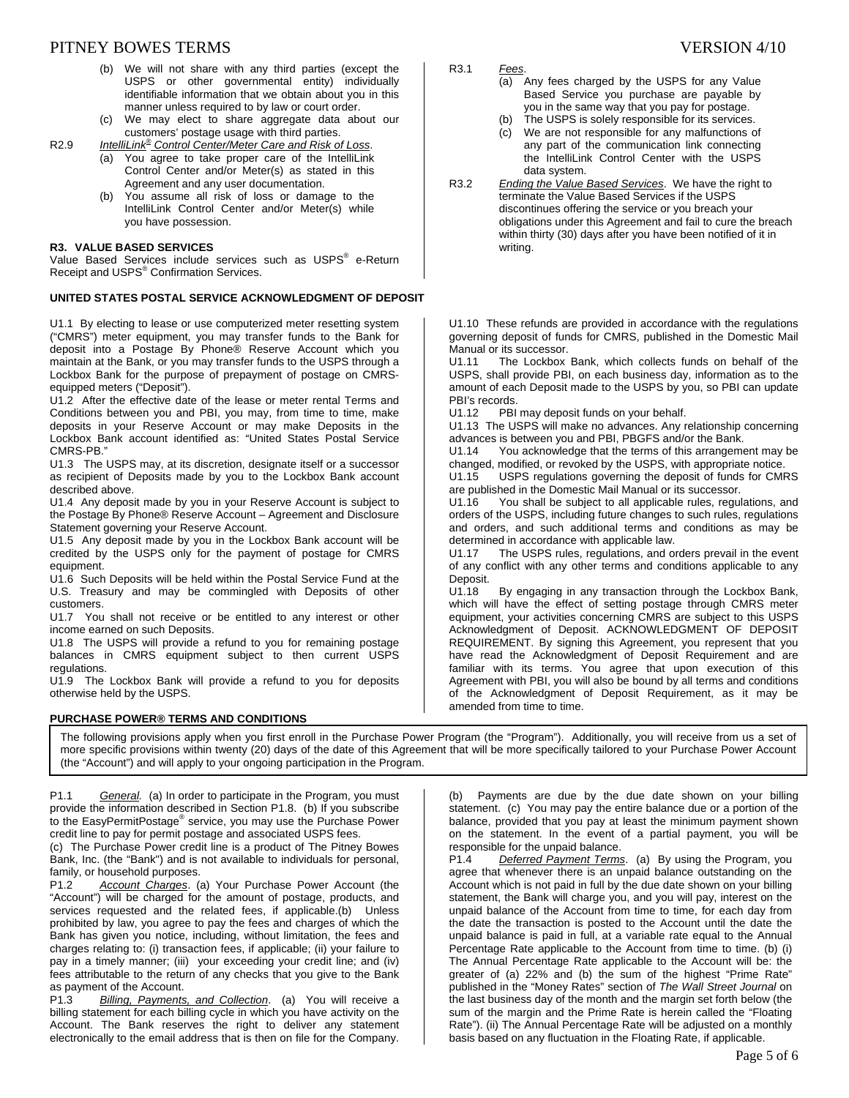# PITNEY BOWES TERMS SERVERS IN THE SERVER OF THE SERVERS ON 4/10

- (b) We will not share with any third parties (except the USPS or other governmental entity) individually identifiable information that we obtain about you in this manner unless required to by law or court order.
- (c) We may elect to share aggregate data about our customers' postage usage with third parties.

R2.9 *IntelliLink® Control Center/Meter Care and Risk of Loss*.

- (a) You agree to take proper care of the IntelliLink Control Center and/or Meter(s) as stated in this Agreement and any user documentation.
- (b) You assume all risk of loss or damage to the IntelliLink Control Center and/or Meter(s) while you have possession.

#### **R3. VALUE BASED SERVICES**

Value Based Services include services such as USPS<sup>®</sup> e-Return Receipt and USPS<sup>®</sup> Confirmation Services.

#### **UNITED STATES POSTAL SERVICE ACKNOWLEDGMENT OF DEPOSIT**

U1.1 By electing to lease or use computerized meter resetting system ("CMRS") meter equipment, you may transfer funds to the Bank for deposit into a Postage By Phone® Reserve Account which you maintain at the Bank, or you may transfer funds to the USPS through a Lockbox Bank for the purpose of prepayment of postage on CMRSequipped meters ("Deposit").

U1.2 After the effective date of the lease or meter rental Terms and Conditions between you and PBI, you may, from time to time, make deposits in your Reserve Account or may make Deposits in the Lockbox Bank account identified as: "United States Postal Service CMRS-PB."

U1.3 The USPS may, at its discretion, designate itself or a successor as recipient of Deposits made by you to the Lockbox Bank account described above.

U1.4 Any deposit made by you in your Reserve Account is subject to the Postage By Phone® Reserve Account – Agreement and Disclosure Statement governing your Reserve Account.

U1.5 Any deposit made by you in the Lockbox Bank account will be credited by the USPS only for the payment of postage for CMRS equipment.

U1.6 Such Deposits will be held within the Postal Service Fund at the U.S. Treasury and may be commingled with Deposits of other customers.

U1.7 You shall not receive or be entitled to any interest or other income earned on such Deposits.

U1.8 The USPS will provide a refund to you for remaining postage balances in CMRS equipment subject to then current USPS regulations.

U1.9 The Lockbox Bank will provide a refund to you for deposits otherwise held by the USPS.

#### **PURCHASE POWER® TERMS AND CONDITIONS**

R3.1 *Fees*.

- (a) Any fees charged by the USPS for any Value Based Service you purchase are payable by you in the same way that you pay for postage.
- (b) The USPS is solely responsible for its services.
- (c) We are not responsible for any malfunctions of any part of the communication link connecting the IntelliLink Control Center with the USPS data system.
- R3.2 *Ending the Value Based Services*. We have the right to terminate the Value Based Services if the USPS discontinues offering the service or you breach your obligations under this Agreement and fail to cure the breach within thirty (30) days after you have been notified of it in writing.

U1.10 These refunds are provided in accordance with the regulations governing deposit of funds for CMRS, published in the Domestic Mail Manual or its successor.

U1.11 The Lockbox Bank, which collects funds on behalf of the USPS, shall provide PBI, on each business day, information as to the amount of each Deposit made to the USPS by you, so PBI can update PBI's records.

U1.12 PBI may deposit funds on your behalf.

U1.13 The USPS will make no advances. Any relationship concerning advances is between you and PBI, PBGFS and/or the Bank.

U1.14 You acknowledge that the terms of this arrangement may be changed, modified, or revoked by the USPS, with appropriate notice.<br>U1.15 USPS regulations governing the deposit of funds for CMF

USPS regulations governing the deposit of funds for CMRS are published in the Domestic Mail Manual or its successor.

U1.16 You shall be subject to all applicable rules, regulations, and orders of the USPS, including future changes to such rules, regulations and orders, and such additional terms and conditions as may be determined in accordance with applicable law.

U1.17 The USPS rules, regulations, and orders prevail in the event of any conflict with any other terms and conditions applicable to any Deposit.

U1.18 By engaging in any transaction through the Lockbox Bank, which will have the effect of setting postage through CMRS meter equipment, your activities concerning CMRS are subject to this USPS Acknowledgment of Deposit. ACKNOWLEDGMENT OF DEPOSIT REQUIREMENT. By signing this Agreement, you represent that you have read the Acknowledgment of Deposit Requirement and are familiar with its terms. You agree that upon execution of this Agreement with PBI, you will also be bound by all terms and conditions of the Acknowledgment of Deposit Requirement, as it may be amended from time to time.

The following provisions apply when you first enroll in the Purchase Power Program (the "Program"). Additionally, you will receive from us a set of more specific provisions within twenty (20) days of the date of this Agreement that will be more specifically tailored to your Purchase Power Account (the "Account") and will apply to your ongoing participation in the Program.

P1.1 *General.* (a) In order to participate in the Program, you must provide the information described in Section P1.8. (b) If you subscribe .<br>to the EasyPermitPostage® service, you may use the Purchase Power credit line to pay for permit postage and associated USPS fees.

(c) The Purchase Power credit line is a product of The Pitney Bowes Bank, Inc. (the "Bank") and is not available to individuals for personal, family, or household purposes.

P1.2 *Account Charges*. (a) Your Purchase Power Account (the "Account") will be charged for the amount of postage, products, and services requested and the related fees, if applicable.(b) Unless prohibited by law, you agree to pay the fees and charges of which the Bank has given you notice, including, without limitation, the fees and charges relating to: (i) transaction fees, if applicable; (ii) your failure to pay in a timely manner; (iii) your exceeding your credit line; and (iv) fees attributable to the return of any checks that you give to the Bank as payment of the Account.

P1.3 *Billing, Payments, and Collection*. (a) You will receive a billing statement for each billing cycle in which you have activity on the Account. The Bank reserves the right to deliver any statement electronically to the email address that is then on file for the Company.

(b) Payments are due by the due date shown on your billing statement. (c) You may pay the entire balance due or a portion of the balance, provided that you pay at least the minimum payment shown on the statement. In the event of a partial payment, you will be responsible for the unpaid balance.<br>P1.4 Deferred Payment Terms

**Deferred Payment Terms.** (a) By using the Program, you agree that whenever there is an unpaid balance outstanding on the Account which is not paid in full by the due date shown on your billing statement, the Bank will charge you, and you will pay, interest on the unpaid balance of the Account from time to time, for each day from the date the transaction is posted to the Account until the date the unpaid balance is paid in full, at a variable rate equal to the Annual Percentage Rate applicable to the Account from time to time. (b) (i) The Annual Percentage Rate applicable to the Account will be: the greater of (a) 22% and (b) the sum of the highest "Prime Rate" published in the "Money Rates" section of *The Wall Street Journal* on the last business day of the month and the margin set forth below (the sum of the margin and the Prime Rate is herein called the "Floating Rate"). (ii) The Annual Percentage Rate will be adjusted on a monthly basis based on any fluctuation in the Floating Rate, if applicable.